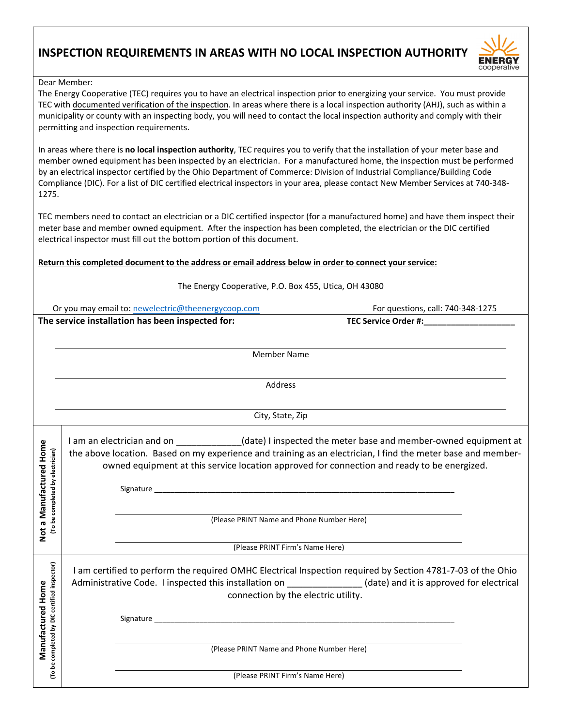## **INSPECTION REQUIREMENTS IN AREAS WITH NO LOCAL INSPECTION AUTHORITY**



## Dear Member:

The Energy Cooperative (TEC) requires you to have an electrical inspection prior to energizing your service. You must provide TEC with documented verification of the inspection. In areas where there is a local inspection authority (AHJ), such as within a municipality or county with an inspecting body, you will need to contact the local inspection authority and comply with their permitting and inspection requirements.

In areas where there is **no local inspection authority**, TEC requires you to verify that the installation of your meter base and member owned equipment has been inspected by an electrician. For a manufactured home, the inspection must be performed by an electrical inspector certified by the Ohio Department of Commerce: Division of Industrial Compliance/Building Code Compliance (DIC). For a list of DIC certified electrical inspectors in your area, please contact New Member Services at 740‐348‐ 1275.

TEC members need to contact an electrician or a DIC certified inspector (for a manufactured home) and have them inspect their meter base and member owned equipment. After the inspection has been completed, the electrician or the DIC certified electrical inspector must fill out the bottom portion of this document.

## **Return this completed document to the address or email address below in order to connect your service:**

| The Energy Cooperative, P.O. Box 455, Utica, OH 43080 |  |
|-------------------------------------------------------|--|
|                                                       |  |

| Or you may email to: newelectric@theenergycoop.com | For questions, call: 740-348-1275                                                                            |                                                   |  |  |  |  |  |  |
|----------------------------------------------------|--------------------------------------------------------------------------------------------------------------|---------------------------------------------------|--|--|--|--|--|--|
|                                                    | The service installation has been inspected for:                                                             | TEC Service Order #: Network and Service Order #: |  |  |  |  |  |  |
|                                                    |                                                                                                              |                                                   |  |  |  |  |  |  |
|                                                    |                                                                                                              |                                                   |  |  |  |  |  |  |
|                                                    | <b>Member Name</b>                                                                                           |                                                   |  |  |  |  |  |  |
|                                                    |                                                                                                              |                                                   |  |  |  |  |  |  |
|                                                    | Address                                                                                                      |                                                   |  |  |  |  |  |  |
|                                                    |                                                                                                              |                                                   |  |  |  |  |  |  |
|                                                    |                                                                                                              |                                                   |  |  |  |  |  |  |
|                                                    | City, State, Zip                                                                                             |                                                   |  |  |  |  |  |  |
|                                                    |                                                                                                              |                                                   |  |  |  |  |  |  |
|                                                    | I am an electrician and on _____________(date) I inspected the meter base and member-owned equipment at      |                                                   |  |  |  |  |  |  |
|                                                    | the above location. Based on my experience and training as an electrician, I find the meter base and member- |                                                   |  |  |  |  |  |  |
|                                                    | owned equipment at this service location approved for connection and ready to be energized.                  |                                                   |  |  |  |  |  |  |
|                                                    |                                                                                                              |                                                   |  |  |  |  |  |  |
|                                                    |                                                                                                              |                                                   |  |  |  |  |  |  |
|                                                    |                                                                                                              |                                                   |  |  |  |  |  |  |
| (To be completed by electrician)                   |                                                                                                              |                                                   |  |  |  |  |  |  |
|                                                    | (Please PRINT Name and Phone Number Here)                                                                    |                                                   |  |  |  |  |  |  |
| Not a Manufactured Home                            |                                                                                                              |                                                   |  |  |  |  |  |  |
|                                                    | (Please PRINT Firm's Name Here)                                                                              |                                                   |  |  |  |  |  |  |
|                                                    |                                                                                                              |                                                   |  |  |  |  |  |  |
|                                                    | I am certified to perform the required OMHC Electrical Inspection required by Section 4781-7-03 of the Ohio  |                                                   |  |  |  |  |  |  |
|                                                    | Administrative Code. I inspected this installation on ______________(date) and it is approved for electrical |                                                   |  |  |  |  |  |  |
|                                                    | connection by the electric utility.                                                                          |                                                   |  |  |  |  |  |  |
|                                                    |                                                                                                              |                                                   |  |  |  |  |  |  |
|                                                    |                                                                                                              |                                                   |  |  |  |  |  |  |
| Manufactured Home                                  |                                                                                                              |                                                   |  |  |  |  |  |  |
|                                                    |                                                                                                              |                                                   |  |  |  |  |  |  |
|                                                    | (Please PRINT Name and Phone Number Here)                                                                    |                                                   |  |  |  |  |  |  |
|                                                    |                                                                                                              |                                                   |  |  |  |  |  |  |
| (To be completed by DIC certified inspector)       | (Please PRINT Firm's Name Here)                                                                              |                                                   |  |  |  |  |  |  |
|                                                    |                                                                                                              |                                                   |  |  |  |  |  |  |